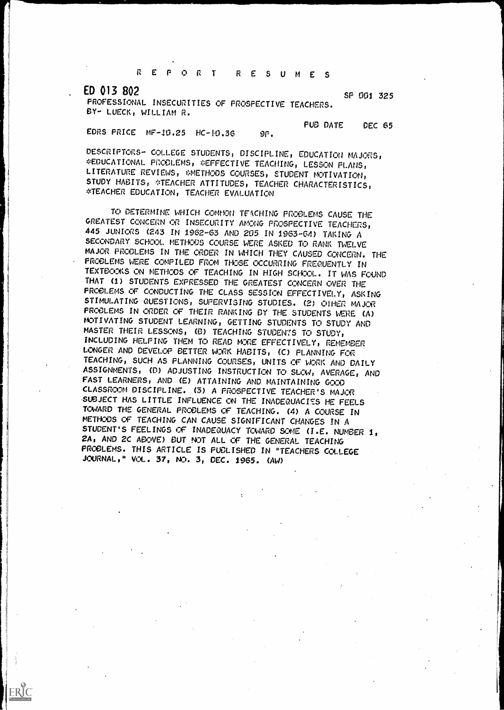REPORT RESUMES

ED 013 802

ERIC

SF 001 325

PROFESSIONAL INSECURITIES OF PROSPECTIVE TEACHERS. BY\* LUECK, WILLIAM R.

PUB DATE DEC 65

EDRS PRICE  $MF-10.25$  HC- $10.36$  9P.

DESCRIPTORS- COLLEGE STUDENTS, DISCIPLINE, EDUCATION MAJORS, \*EDUCATIONAL PROCLEMS, \*EFFECTIVE TEACHING, LESSON PLANS, LITERATURE REVIEWS, \*METHODS COURSES, STUDENT MOTIVATION, STUDY HABITS, \*TEACHER ATTITUDES, TEACHER CHARACTERISTICS, \*TEACHER EDUCATION, TEACHER EVALUATION

TO DETERMINE WHICH COMMON TEACHING PROBLEMS CAUSE THE GREATEST CONCERN OR INSECURITY AMONG PROSPECTIVE TEACHERS, 445 JUNIORS (243 IN 1962-63 AND 205 IN 1963-64) TAKING A SECONDARY SCHOOL METHODS COURSE WERE ASKED TO RANK TWELVE MAJOR FRCCLEMS IN THE CRDER IN WHICH THEY CAUSED CONCERN. THE PROBLEMS WERE COMPILED FROM THOSE OCCURRING FREQUENTLY IN TEXTOCOKS ON METHODS CF TEACHING IN HIGH SCHOOL. IT WAS FOUND THAT (1) STUDENTS EXPRESSED THE GREATEST CONCERN OVER THE PROBLEMS CF CONDUCTING THE CLASS SESSION EFFECTIVELY, ASKING STIMULATING QUESTIONS, SUPERVISING STUDIES. (2) OTHER MAJOR PROBLEMS IN ORDER OF THEIR RANKING BY THE STUDENTS WERE (A) MOTIVATING STUDENT LEARNING, GETTING STUDENTS TO STUDY AND MASTER THEIR LESSONS, (B) TEACHING STUDENTS TO STUDY, INCLUDING HELPING THEM TO READ MCRE EFFECTIVELY, REMEMBER LONGER AND DEVELOP BETTER WORK HABITS, (C) PLANNING FOR TEACHING, SUCH AS PLANNING COURSES, UNITS OF WORK AND DAILY ASSIGNMENTS, (D) ADJUSTING INSTRUCTION TO SLOW, AVERAGE, AND FAST LEARNERS, AND (E) ATTAINING AND MAINTAINING GOOD CLASSROOM DISCIPLINE. (3) A PROSPECTIVE TEACHER'S MAJOR SUBJECT HAS LITTLE INFLUENCE ON THE INADEQUACIES HE FEELS TOWARD THE GENERAL PROBLEMS OF TEACHING. (4) A COURSE IN METHODS OF TEACHING CAN CAUSE SIGNIFICANT CHANGES IN A STUDENT'S FEELINGS CF INADEQUACY TOWARD SOME (I.E. NUMBER 1, 2A, AND 2C ABOVE) OUT NOT ALL OF THE GENERAL TEACHING PROBLEMS. THIS ARTICLE IS FUOL/SHED IN "TEACHERS COLLEGE JOURNAL, " VOL. 37, NO. 3, DEC. 1965. (AW)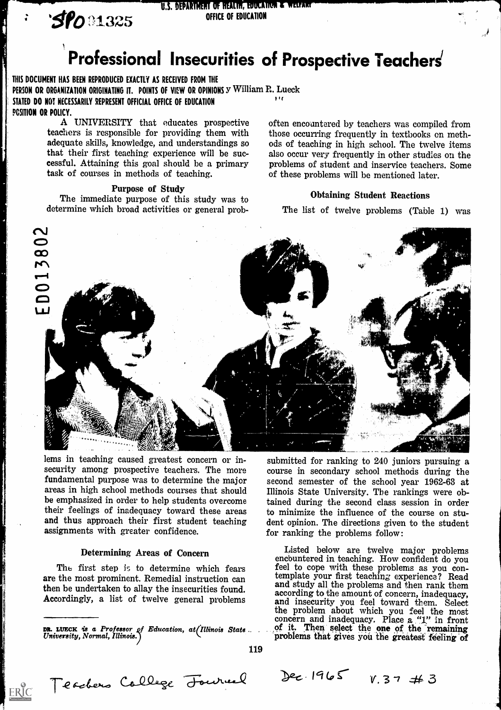**SPO 01325** OFFICE OF EDUCATION

# U.S. DEPARTMENT OF HEALTH, EDUCATION & WELFART

# Professional Insecurities of Prospective Teachers'

THIS DOCUMENT HAS BEEN REPRODUCED EXACTLY AS RECEIVED FROM THE PERSON OR ORGANIZATION ORIGINATING IT. POINTS OF VIEW OR OPINIONS Y William R. Lueck STATED DO NOT NECESSARILY REPRESENT OFFICIAL OFFICE OF EDUCATION PCSITION OR POLICY. I I I

> A UNIVERSITY that educates prospective teachers is responsible for providing them with adequate skills, knowledge, and understandings so that their first teaching experience will be successful. Attaining this goal should be a primary task of courses in methods of teaching.

#### Purpose of Study

The immediate purpose of this study was to determine which broad activities or general proboften encountered by teachers was compiled from those occurring frequently in textbooks on methods of teaching in high school. The twelve items also occur very frequently in other studies on the problems of student and inservice teachers. Some of these problems will be mentioned later.

#### Obtaining Student Reactions

The list of twelve problems (Table 1) was



lems in teaching caused greatest concern or insecurity among prospective teachers. The more fundamental purpose was to determine the major areas in high school methods courses that should be emphasized in order to help students overcome their feelings of inadequacy toward these areas and thus approach their first student teaching assignments with greater confidence.

### Determining Areas of Concern

are the most prominent. Remedial instruction can then be undertaken to allay the insecurities found. enter be under cancel to analy the histournies round.<br>Accordingly, a list of twelve general problems and insecurity you feel toward them Soloct

submitted for ranking to 240 juniors pursuing a course in secondary school methods during the second semester of the school year 1962-63 at Illinois State University. The rankings were obtained during the second class session in order to minimize the influence of the course on student opinion. The directions given to the student for ranking the problems follow:

The first step is to determine which fears and the step is to determine which fears feel to cope with these problems as you con-DR. LUECK is a Professor of Education, at *Illinois State* ... of it. Then select the one of the remaining University, Normal, Illinois.) Listed below are twelve major problems feel to cope with these problems as you contemplate your first teaching experience? Read and study all the problems and then rank them according to the amount of concern, inadequacy, and insecurity you feel toward them. Select the problem about which you feel the most concern and inadequacy. Place a "1" in front of it. Then select the one of the remaining problems that gives you the greatest feeling of

119

 $ERIC$ 

Teachers College Fourned

 $Dec.1965 \quad V. 37 \neq 3$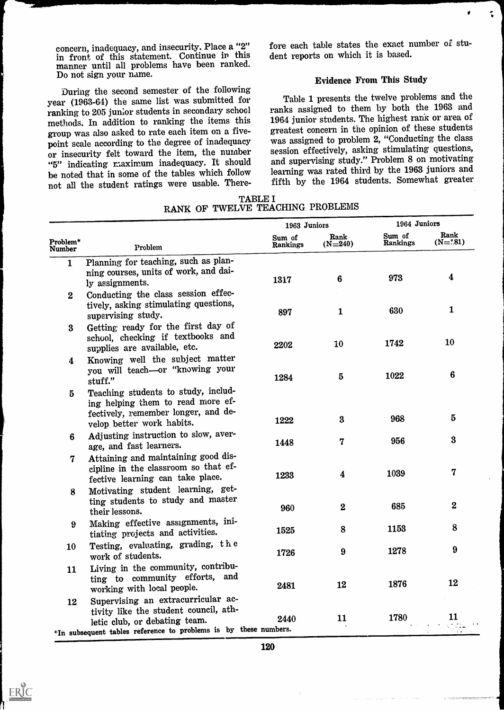concern, inadequacy, and insecurity. Place a "2" in front of this statement. Continue in this manner until all problems have been ranked. Do not sign your name.

During the second semester of the following year (1963-64) the same list was submitted for ranking to 205 junior students in secondary school methods. In addition to ranking the items this group was also asked to rate each item on a fivepoint scale according to the degree of inadequacy or insecurity felt toward the item, the number "5" indicating maximum inadequacy. It should be noted that in some of the tables which follow not all the student ratings were usable. There-

**ERIC** 

fore each table states the exact number of student reports on which it is based.

₫

 $\ddot{\bullet}$ 

## Evidence From This Study

Table 1 presents the twelve problems and the ranks assigned to them by both the 1963 and 1964 junior students. The highest rank or area of greatest concern in the opinion of these students was assigned to problem 2, "Conducting the class session effectively, asking stimulating questions, and supervising study." Problem 8 on motivating learning was rated third by the 1963 juniors and fifth by the 1964 students. Somewhat greater

|                                                                                                                                              |                                                                                                                                                                                                                          |                                                                  | 1964 Juniors       |                            |  |
|----------------------------------------------------------------------------------------------------------------------------------------------|--------------------------------------------------------------------------------------------------------------------------------------------------------------------------------------------------------------------------|------------------------------------------------------------------|--------------------|----------------------------|--|
| Problem*<br>Problem                                                                                                                          | Sum of<br>Rankings                                                                                                                                                                                                       | Rank<br>$(N=240)$                                                | Sum of<br>Rankings | Rank<br>$(N=1.81)$         |  |
| Planning for teaching, such as plan-<br>ning courses, units of work, and dai-<br>ly assignments.                                             | 1317                                                                                                                                                                                                                     | $6\phantom{1}6$                                                  | 973                | $\boldsymbol{4}$           |  |
| tively, asking stimulating questions,<br>supervising study.                                                                                  | 897                                                                                                                                                                                                                      | $\mathbf{1}$                                                     | 630                | $\mathbf 1$                |  |
| school, checking if textbooks and<br>supplies are available, etc.                                                                            | 2202                                                                                                                                                                                                                     | 10                                                               | 1742               | 10                         |  |
| you will teach-or "knowing your<br>stuff."                                                                                                   | 1284                                                                                                                                                                                                                     | $\bf{5}$                                                         | 1022               | $6\phantom{1}$             |  |
| Teaching students to study, includ-<br>ing helping them to read more ef-<br>fectively, remember longer, and de-<br>velop better work habits. | 1222                                                                                                                                                                                                                     | $\bf{3}$                                                         | 968                | $\bf{5}$                   |  |
| Adjusting instruction to slow, aver-<br>age, and fast learners.                                                                              | 1448                                                                                                                                                                                                                     | 7                                                                | 956                | $\bf{3}$                   |  |
| Attaining and maintaining good dis-<br>cipline in the classroom so that ef-<br>fective learning can take place.                              | 1233                                                                                                                                                                                                                     | 4                                                                | 1039               | $\overline{7}$             |  |
| ting students to study and master<br>their lessons.                                                                                          | 960                                                                                                                                                                                                                      | $\overline{\mathbf{2}}$                                          | 685                | $\boldsymbol{2}$           |  |
| Making effective assignments, ini-<br>tiating projects and activities.                                                                       | 1525                                                                                                                                                                                                                     | 8                                                                | 1153               | 8                          |  |
| Testing, evaluating, grading, the<br>work of students.                                                                                       | 1726                                                                                                                                                                                                                     | 9                                                                | 1278               | $9\phantom{.}$             |  |
| Living in the community, contribu-<br>ting to community efforts, and<br>working with local people.                                           | 2481                                                                                                                                                                                                                     | 12                                                               | 1876               | 12                         |  |
| tivity like the student council, ath-                                                                                                        | 2440                                                                                                                                                                                                                     | 11                                                               | 1780               | 11<br>$\sim 100$ m $^{-1}$ |  |
|                                                                                                                                              | Conducting the class session effec-<br>Getting ready for the first day of<br>Knowing well the subject matter<br>Motivating student learning, get-<br>Supervising an extracurricular ac-<br>letic club, or debating team. | *In subsequent tables reference to problems is by these numbers. | 1963 Juniors       |                            |  |

TABLE I RANK OF TWELVE TEACHING PROBLEMS

120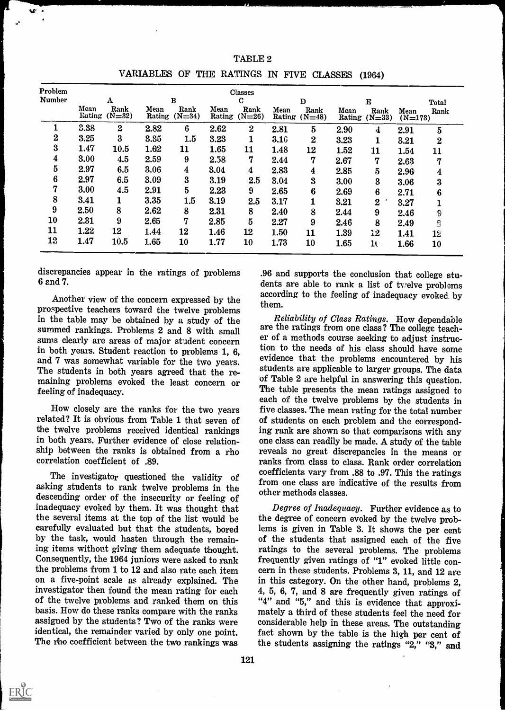| Problem          |                | Classes          |                |                  |                |                  |                |                  |                |                  |                   |                  |
|------------------|----------------|------------------|----------------|------------------|----------------|------------------|----------------|------------------|----------------|------------------|-------------------|------------------|
| <b>Number</b>    |                | A                |                | $\bf{B}$         |                | $\mathbf C$      |                | D                |                | $\bf E$          |                   | Total            |
|                  | Mean<br>Rating | Rank<br>$(N=32)$ | Mean<br>Rating | Rank<br>$(N=34)$ | Mean<br>Rating | Rank<br>$(N=26)$ | Mean<br>Rating | Rank<br>$(N=48)$ | Mean<br>Rating | Rank<br>$(N=33)$ | Mean<br>$(N=173)$ | Rank             |
|                  | 3.38           | $\boldsymbol{2}$ | 2.82           | 6                | 2.62           | $\boldsymbol{2}$ | 2.81           | $\overline{5}$   | 2.90           | $\boldsymbol{4}$ | 2.91              | 5                |
| $\mathbf{2}$     | 3.25           | $\boldsymbol{3}$ | 3.35           | 1.5              | 3.23           |                  | 3.10           | $\bf{2}$         | 3.23           |                  | 3.21              | $\bf{2}$         |
| $\bf{3}$         | 1.47           | 10.5             | 1.62           | 11               | 1.65           | 11               | 1.48           | 12               | 1.52           | 11               | 1.54              | 11               |
| $\boldsymbol{4}$ | 3.00           | 4.5              | 2.59           | 9                | 2.58           | 7                | 2.44           | 7                | 2.67           | 7                | 2.63              | 77               |
| $\bf{5}$         | 2.97           | 6.5              | 3.06           | 4                | 3.04           | 4                | 2.83           | 4                | 2.85           | $\overline{5}$   | 2.96              | $\boldsymbol{4}$ |
| $\boldsymbol{6}$ | 2.97           | 6.5              | 3.09           | 3                | 3.19           | 2.5              | 3.04           | 3                | 3.00           | $\bf{3}$         | 3.06              | 3                |
| 7                | 3.00           | 4.5              | 2.91           | $5\overline{)}$  | 2.23           | 9                | 2.65           | 6                | 2.69           | 6                | 2.71              | 6                |
| 8                | 3.41           |                  | 3.35           | 1.5              | 3.19           | 2.5              | 3.17           |                  | 3.21           | $\bf{2}$         | 3.27              |                  |
| 9                | 2.50           | 8                | 2.62           | 8                | 2.31           | 8                | 2.40           | 8                | 2.44           | 9                | 2.46              | 9                |
| <b>10</b>        | 2.31           | 9                | 2.65           | 7                | 2.85           | 5                | 2.27           | 9                | 2.46           | 8                | 2.49              | 8                |
| 11               | 1.22           | 12               | 1.44           | 12               | 1.46           | 12               | 1.50           | 11               | 1.39           | 12               | 1.41              | 12               |
| 12               | 1.47           | 10.5             | 1.65           | 10               | 1.77           | 10               | 1.73           | 10               | 1.65           | 10               | 1.66              | 10               |

TABLE 2 VARIABLES OF THE RATINGS IN FIVE CLASSES (1964)

discrepancies appear in the ratings of problems 6 and 7.

Another view of the concern expressed by the prospective teachers toward the twelve problems in the table may be obtained by a study of the summed rankings. Problems 2 and 8 with small sums clearly are areas of major student concern in both years. Student reaction to problems 1, 6, and 7 was somewhat variable for the two years. The students in both years agreed that the re- maining problems evoked the least concern or feeling of inadequacy.

How closely are the ranks for the two years related? It is obvious from Table 1 that seven of the twelve problems received identical rankings in both years. Further evidence of close relationship between the ranks is obtained from a rho correlation coefficient of .89.

The investigator questioned the validity of asking students to rank twelve problems in the descending order of the insecurity or feeling of inadequacy evoked by them. It was thought that the several items at the top of the list would be the degree of concern evoked by the twelve prob-<br>carefully evaluated but that the students, bored lems is given in Table 3. It shows the per cent carefully evaluated but that the students, bored by the task, would hasten through the remaining items without giving them adequate thought. Consequently, the 1964 juniors were asked to rank the problems from 1 to 12 and also rate each item on a five-paint scale as already explained. The investigator then found the mean rating for each of the twelve problems and ranked them on this basis. How do these ranks compare with the ranks assigned by the students ? Two of the ranks were identical, the remainder varied by only one point. The rho coefficient between the two rankings was

.96 and supports the conclusion that college students are able to rank a list of trelve problems according to the feeling of inadequacy evoked by them.

Reliability of Class Ratings. How dependable are the ratings from one class? The college teacher of a methods course seeking to adjust instruction to the needs of his class should have some evidence that the problems encountered by his students are applicable to larger groups. The data of Table 2 are helpful in answering this question. The table presents the mean ratings assigned to each of the twelve problems by the students in five classes. The mean rating for the total number of students on each problem and the corresponding rank are shown so that comparisons with any one class can readily be made. A study of the table reveals no great discrepancies in the means or ranks from class to class. Rank order correlation coefficients vary from .88 to .97. This the ratings from one class are indicative of the results from other methods classes.

Degree of Inadequacy. Further evidence as to the degree of concern evoked by the twelve probof the students that assigned each of the five ratings to the several problems. The problems frequently given ratings of "1" evoked little concern in these students. Problems 3, 11, and 12 are in this category. On the other hand, problems 2, 4, 5, 6, 7, and S are frequently given ratings of "4" and "5," and this is evidence that approximately a third of these students feel the need for considerable help in these areas. The outstanding fact shown by the table is the high per cent of the students assigning the ratings "2," "3," and



W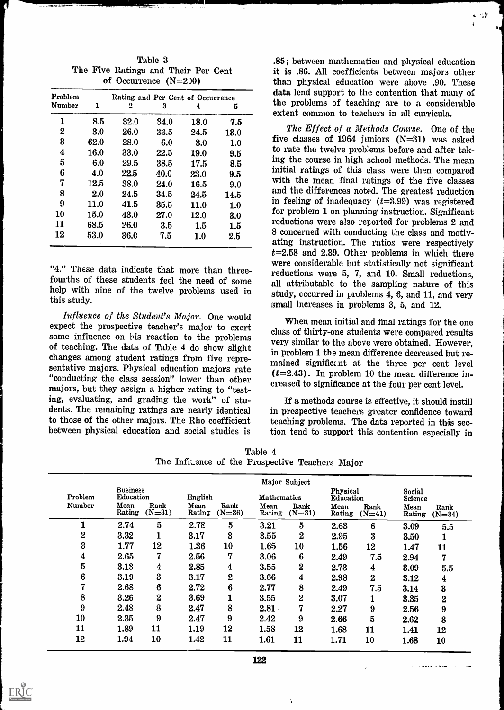| Problem       | Rating and Per Cent of Occurrence |      |      |             |             |  |  |  |
|---------------|-----------------------------------|------|------|-------------|-------------|--|--|--|
| <b>Number</b> | 1                                 | 2    | 3    | 4           | 5           |  |  |  |
| 1             | 8.5                               | 32.0 | 34.0 | 18.0        | 7.5         |  |  |  |
| $\bf{2}$      | 3.0                               | 26.0 | 33.5 | 24.5        | <b>13.0</b> |  |  |  |
| 3             | 62.0                              | 28.0 | 6.0  | 3.0         | 1.0         |  |  |  |
| 4             | 16.0                              | 33.0 | 22.5 | 19.0        | 9.5         |  |  |  |
| $\bf{5}$      | 6.0                               | 29.5 | 38.5 | 17.5        | 8.5         |  |  |  |
| 6             | 4.0                               | 22.5 | 40.0 | 23.0        | 9.5         |  |  |  |
| 7             | 12.5                              | 38.0 | 24.0 | 16.5        | 9.0         |  |  |  |
| 8             | 2.0                               | 24.5 | 34.5 | 24.5        | 14.5        |  |  |  |
| 9             | 11.0                              | 41.5 | 35.5 | <b>11.0</b> | 1.0         |  |  |  |
| 10            | 15.0                              | 43.0 | 27.0 | <b>12.0</b> | 3.0         |  |  |  |
| 11            | 68.5                              | 26.0 | 3.5  | 1.5         | 1.5         |  |  |  |
| 12            | 53.0                              | 36.0 | 7.5  | 1.0         | 2.5         |  |  |  |

Table 3 The Five Ratings and Their Per Cent of Occurrence  $(N=2.30)$ 

"4." These data indicate that more than threefourths of these students feel the need of some help with nine of the twelve problems used in this study.

Influence of the Student's Major. One would expect the prospective teacher's major to exert some influence on his reaction to the problems of teaching. The data of Table 4 do show slight changes among student ratings from five representative majors. Physical education majors rate "conducting the class session" lower than other majors, but they assign a higher rating to "testing, evaluating, and grading the work" of students. The remaining ratings are nearly identical to those of the other majors. The Rho coefficient between physical education and social studies is

.85 ; between mathematics and physical education it is .86. All coefficients between majors other than physical education were above .90. These data lend support to the contention that many of the problems of teaching are to a considerable extent common to teachers in all curricula.

ಾ

The Effect of a Methods Course. One of the five classes of 1964 juniors (N=31) was asked to rate the twelve problems before and after taking the course in high school methods. The mean initial ratings of this class were then compared with the mean final ratings of the five classes and the differences noted. The greatest reduction in feeling of inadequacy  $(t=3.99)$  was registered for problem 1 on planning instruction. Significant reductions were also reported for problems 2 and 8 concerned with conducting the class and motivating instruction. The ratios were respectively  $t=2.58$  and 2.39. Other problems in which there were considerable but statistically not significant reductions were 5, 7, and 10. Small reductions, all attributable to the sampling nature of this study, occurred in problems 4, 6, and 11, and very small increases in problems 3, 5, and 12.

When mean initial and final ratings for the one class of thirty-one students were compared results very similar to the above were obtained. However, in problem 1 the mean difference decreased but remained significt nt at the three per cent level  $(t=2.43)$ . In problem 10 the mean difference increased to significance at the four per cent level.

If a methods course is effective, it should instill in prospective teachers greater confidence toward teaching problems. The data reported in this section tend to support this contention especially in

Table 4 The InfLence of the Prospective Teachers Major

|                   | Major Subject                |                  |                |                  |                    |                  |                       |                  |                       |                  |
|-------------------|------------------------------|------------------|----------------|------------------|--------------------|------------------|-----------------------|------------------|-----------------------|------------------|
| Problem<br>Number | <b>Business</b><br>Education |                  | English        |                  | <b>Mathematics</b> |                  | Physical<br>Education |                  | Social<br>Science     |                  |
|                   | Mean<br>Rating               | Rank<br>$(N=31)$ | Mean<br>Rating | Rank<br>$(N=36)$ | Mean<br>Rating     | Rank<br>$(N=31)$ | Mean<br>Rating        | Rank<br>$(N=41)$ | <b>Mean</b><br>Rating | Rank<br>$(N=34)$ |
|                   | 2.74                         | 5                | 2.78           | 5                | 3.21               | $\bf{5}$         | 2.63                  | $6\phantom{1}6$  | 3.09                  | 5.5              |
| $\boldsymbol{2}$  | 3.32                         |                  | 3.17           | $\boldsymbol{3}$ | 3.55               | $\bf{2}$         | 2.95                  | $\bf{3}$         | 3.50                  |                  |
| $\bf{3}$          | 1.77                         | 12               | 1.36           | 10               | 1.65               | 10               | 1.56                  | 12               | 1.47                  | 11               |
| $\boldsymbol{4}$  | 2.65                         | 7                | 2.56           | $\overline{7}$   | 3.06               | $6\phantom{1}6$  | 2.49                  | 7.5              | 2.94                  | $\overline{7}$   |
| $\bf{5}$          | 3.13                         | 4                | 2.85           | $\boldsymbol{4}$ | 3.55               | $\bf{2}$         | 2.73                  | 4                | 3.09                  | 5.5              |
| 6                 | 3.19                         | 3                | 3.17           | $\boldsymbol{2}$ | 3.66               | $\boldsymbol{4}$ | 2.98                  | $\boldsymbol{2}$ | 3.12                  | $\boldsymbol{4}$ |
| 7                 | 2.68                         | $6\phantom{1}6$  | 2.72           | $6\phantom{1}6$  | 2.77               | 8                | 2.49                  | 7.5              | 3.14                  | $\bf{3}$         |
| 8                 | 3.26                         | $\boldsymbol{2}$ | 3.69           |                  | 3.55               | $\boldsymbol{2}$ | 3.07                  | 1                | 3.35                  | $\overline{2}$   |
| 9                 | 2.48                         | 8                | 2.47           | 8                | $2.81 -$           | 7                | 2.27                  | 9                | 2.56                  | 9                |
| 10                | 2.35                         | 9                | 2.47           | 9                | 2.42               | 9                | 2.66                  | $\overline{5}$   | 2.62                  | 8                |
| 11                | 1.89                         | 11               | 1.19           | 12               | 1.58               | 12               | 1.68                  | 11               | 1.41                  | 12               |
| 12                | 1.94                         | 10               | 1.42           | 11               | 1.61               | 11               | 1.71                  | 10               | 1.68                  | 10               |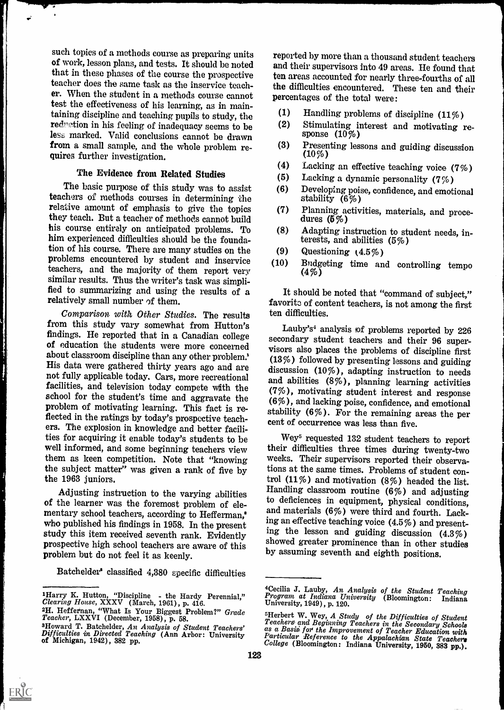such topics of a methods course as preparing units of work, lesson plans, and tests. It should be noted that in these phases of the course the prospective teacher does the same task as the inservice teacher. When the student in a methods course cannot test the effectiveness of his learning, as in maintaining discipline and teaching pupils to study, the  $(1)$ <br>reduction in his feeling of inadequacy seems to be  $(2)$ reduction in his feeling of inadequacy seems to be less marked. Valid conclusions cannot be drawn<br>**from a** small sample, and the whole problem re- (3) from a small sample, and the whole problem re- (3)<br>quires further investigation. (4)

## The Evidence from Related Studies

The basic purpose of this study was to assist (6) teachers of methods courses in determining the relative amount of emphasis to give the topics (7) they teach. But a teacher of methods cannot build his course entirely on anticipated problems. To (8) him experienced difficulties should be the foundation of his course. There are many studies on the tion of his course. There are many studies on the  $(9)$ <br>problems encountered by student and inservice  $(10)$ teachers, and the majority of them report very similar results. Thus the writer's task was simplified to summarizing and using the results of a relatively small number of them.

Comparison with Other Studies. The results from this study vary somewhat from Hutton's findings. He reported that in a Canadian college maings. He reported that in a Canadian college secondary student teachers and their 96 super-<br>of education the students were more concerned visors also places the problems of discipline first<br>about classroom discipline th about classroom discipline than any other problem.<br>His data were gathered thirty years ago and are<br>not fully applicable today. Cars, more recreational and abilities  $(10\%)$ , adapting instruction to needs<br>and abilities  $(8$ facilities, and television today compete with the school for the student's time and aggravate the problem of motivating learning. This fact is reflected in the ratings by today's prospective teachers. The explosion in knowledge and better facilities for acquiring it enable today's students to be Wey<sup>5</sup> requested 132 student teachers to report well informed, and some beginning teachers view their difficulties three times during twenty-two them as keen competition. Note that "knowing weeks. Their supervisors reported their observathem as keen competition. Note that "knowing the subject matter" was given a rank of five by the 1963 juniors.

mentary school teachers, according to Hefferman,<sup>\*</sup> who published his findings in 1958. In the present who published his midlings in 1958. In the present sing the lesson and guiding discussion  $(4.3\%)$ prospective high school teachers are aware of this problem but do not feel it as keenly.

Batchelder' classified 4,380 specific difficulties

ERIC

reported by more than a thousand student teachers and their supervisors into 49 areas. He found that ten areas accounted for nearly three-fourths of all the difficulties encountered. These ten and their percentages of the total were:

- (1) Handling problems of discipline (11% )
- (2) Stimulating interest and motivating re- sponse (10%)
- (3) Presenting lessons and guiding discussion  $(10\%)$
- (4) Lacking an effective teaching voice (7% )
- (5) Lacking a dynamic personality (7%)
- (6) Developing poise, confidence, and emotional stability (6%)
- (7) Planning activities, materials, and proce- dures (5 % )
- (8) Adapting instruction to student needs, interests, and abilities  $(5%)$
- (9) Questioning  $(4.5\%)$
- (10) Budgeting time and controlling tempo (4%)

It should be noted that "command of subject," favorite of content teachers, is not among the first ten difficulties.

Lauby's<sup>4</sup> analysis of problems reported by  $226$ discussion (10%), adapting instruction to needs and abilities (8%), planning learning activities (7%), motivating student interest and response (6%), and lacking poise, confidence, and emotional stability (6%). For the remaining areas the per cent of occurrence was less than five.

Adjusting instruction to the varying abilities the deficiences in equipment, physical conditions, of the learner was the foremost problem of eletheir difficulties three times during twenty-two tions at the same times. Problems of student control (11%) and motivation (8%) headed the list. Handling classroom routine (6%) and adjusting and materials  $(6\%)$  were third and fourth. Lacking an effective teaching voice (4.5 %) and presentshowed greater prominence than in other studies by assuming seventh and eighth positions.

<sup>2</sup>H. Heffernan, "What Is Your Biggest Problem?" Grade 5Herbert W. Wey, A Study of the Difficulties of Student Teacher, LXXVI (December, 1958), p. 58.<br>Teachers and Beginning Teachers in the Secondary Schools

of Michigan, 1942), 382 pp.

**iCecilia J. Lauby, An Analysis of the Student Teaching**<br> **IHarry K. Hutton, "Discipline - the Hardy Perennial,"** Program at Indiana University (Bloomington: Indiana<br>
University, 1949), p. 120. Program at Indiana University (Bloomington: Indiana

<sup>3</sup>Howard T. Batchelder, An Analysis of Student Teachers' as a Basis for the Improvement of Teacher Education with<br>Difficulties in Directed Teaching (Ann Arbor: University Particular Reference to the Appalachian State Teache Particular Reference to the Appalachian State Teachers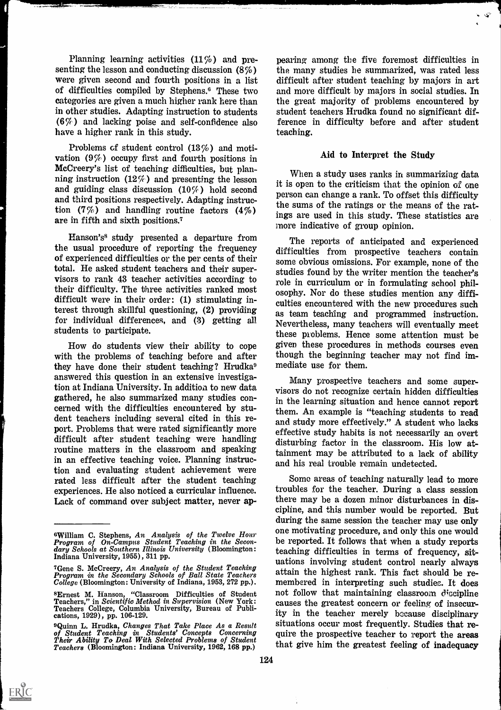Planning learning activities (11%) and presenting the lesson and conducting discussion (8%) were given second and fourth positions in a list of difficulties compiled by Stephens.° These two categories are given a much higher rank here than in other studies. Adapting instruction to students (6%) and lacking poise and self-confidence also have a higher rank in this study.

Problems of student control  $(13\%)$  and motivation (9%) occupy first and fourth positions in McCreery's list of teaching difficulties, but planning instruction  $(12\%)$  and presenting the lesson and guiding class discussion  $(10\%)$  hold second and third positions respectively. Adapting instruction  $(7\%)$  and handling routine factors  $(4\%)$ are in fifth and sixth positions.7

Hanson's° study presented a departure from the usual procedure of reporting the frequency of experienced difficulties or the per cents of their total. He asked student teachers and their supervisors to rank 43 teacher activities according to their difficulty. The three activities ranked most difficult were in their order: (1) stimulating interest through skillful questioning, (2) providing for individual differences, and (3) getting all students to participate.

How do students view their ability to cope with the problems of teaching before and after they have done their student teaching? Hrudka° answered this question in an extensive investigation at Indiana University. In addition to new data gathered, he also summarized many studies concerned with the difficulties encountered by student teachers including several cited in this report. Problems that were rated significantly more difficult after student teaching were handling routine matters in the classroom and speaking in an effective teaching voice. Planning instruction and evaluating student achievement were rated less difficult after the student teaching experiences. He also noticed a curricular influence. Lack of command over subject matter, never ap-

pearing among the five foremost difficulties in the many studies he summarized, was rated less difficult after student teaching by majors in art and more difficult by majors in social studies. In the great majority of problems encountered by student teachers Hrudka found no significant difference in difficulty before and after student teaching.

#### Aid to Interpret the Study

When a study uses ranks in summarizing data it is open to the criticism that the opinion of one person can change a rank. To offset this difficulty the sums of the ratings or the means of the ratings are used in this study. These statistics are more indicative of group opinion.

The reports of anticipated and experienced difficulties from prospective teachers contain some obvious omissions. For example, none of the studies found by the writer mention the teacher's role in curriculum or in formulating school philosophy. Nor do these studies mention any difficulties encountered with the new procedures such as team teaching and programmed instruction. Nevertheless, many teachers will eventually meet these problems. Hence some attention must be given these procedures in methods courses even though the beginning teacher may not find immediate use for them.

Many prospective teachers and some supervisors do not recognize certain hidden difficulties in the learning situation and hence cannot report them. An example is "teaching students to read and study more effectively." A student who lacks effective study habits is not necessarily an overt disturbing factor in the classroom. His low attainment may be attributed to a lack of ability and his real trouble remain undetected.

Some areas of teaching naturally lead to more troubles for the teacher. During a class session there may be a dozen minor disturbances in discipline, and this number would be reported. But during the same session the teacher may use only one motivating procedure, and only this one would be reported. It follows that when a study reports teaching difficulties in terms of frequency, situations involving student control nearly always attain the highest rank. This fact should be remembered in interpreting such studies. It does not follow that maintaining classroom discipline causes the greatest concern or feeling of insecurity in the teacher merely because disciplinary situations occur most frequently. Studies that require the prospective teacher to report the areas that give him the greatest feeling of inadequacy

<sup>°</sup>William C. Stephens, An Analysis of the Twelve HOW' Program of On-Campus Student Teaching in the Secon- dary Schools at Southern Illinois University (Bloomington: Indiana University, 1955), 311 pp.

<sup>7</sup>Gene S. McCreery, An Analysis of the Student Teaching Program in the Secondary Schools of Ball State Teachers College (Bloomington: University of Indiana, 1953, 272 pp.).

<sup>°</sup>Ernest M. Hanson, "Classroom Difficulties of Student Teachers," in Scientific Method in Supervision (New York: Teachers College, Columbia University, Bureau of Publi- cations, 1929), pp. 106-129.

<sup>°</sup>Quinn L. Hrudka, Changes That Take Place As a Result of Student Teaching in Students' Concepts Concerning Their Ability To Deal With Selected Problems of Student Teachers (Bloomington: Indiana University, 1962, 168 pp.)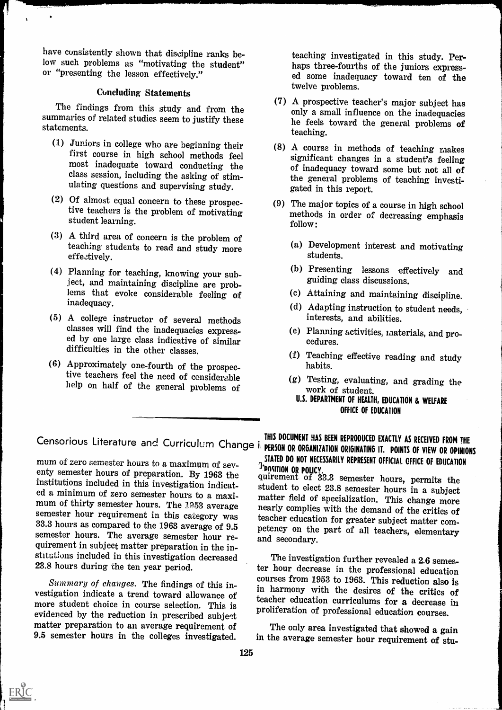have consistently shown that discipline ranks below such problems as "motivating the student" or "presenting the lesson effectively."

## Concluding Statements

The findings from this study and from the summaries of related studies seem to justify these statements.

- (1) Juniors in college who are beginning their  $\begin{array}{ccc} (8) & A & \text{course} & \text{in methods of teaching makes} \\ \text{first course in high school methods feel & \text{simification} \\ \end{array}$ most inadequate toward conducting the ulating questions and supervising study.
- (2) Of almost equal concern to these prospective teachers is the problem of motivating student learning.
- A third area of concern is the problem of teaching students to read and study more effectively.
- Planning for teaching, knowing your subject, and maintaining discipline are problems that evoke considerable feeling of inadequacy.
- (5) A college instructor of several methods classes will find the inadequacies expressed by one large class indicative of similar difficulties in the other classes.
- (6) Approximately one-fourth of the prospective teachers feel the need of considerable help on half of the general problems of

teaching investigated in this study. Per-<br>haps three-fourths of the juniors expressed some inadequacy toward ten of the twelve problems.

- (7) A prospective teacher's major subject has only a small influence on the inadequacies he feels toward the general problems of teaching.
- significant changes in a student's feeling of inadequacy toward some but not all of the general problems of teaching investigated in this report.
- (9) The major topics of a course in high school methods in order of decreasing emphasis follow:
	- (a) Development interest and motivating students.
	- (b) Presenting lessons effectively and guiding class discussions.
	- (c) Attaining and maintaining discipline,
	- (d) Adapting instruction to student needs, interests, and abilities.
	- (e) Planning activities, materials, and pro- cedures.
	- (1) Teaching effective reading and study habits.
	- (g) Testing, evaluating, and grading the work of student.
		- U.S. DEPARTMENT OF HEALTH, EDUCATION & WELFARE OFFICE OF EDUCATION

mum of zero semester hours to a maximum of seventy semester hours of preparation. By 1963 the Institutions included in this investigation indicat-<br>ed a minimum of zero semester hours to a maxi-<br>matter field of specialization. This charge manne mum of thirty semester hours. The 1953 average semester hour requirement in this category was semester nour requirement in this category was teacher education for greater subject matter com-<br>33.3 hours as compared to the 1963 average of 9.5 petency on the part of all teachers, elementary<br>semester hours. The average quirement in subject matter preparation in the institutions included in this investigation decreased 23.8 hours during the ten year period.

vestigation indicate a trend toward allowance of more student choice in course selection. This is evidenced by the reduction in prescribed subject matter preparation to an average requirement of 9.5 semester hours in the colleges investigated.

Censorious Literature and Curriculum Change i<sub>i</sub> person or organization opiginating it, points of view on opinione PERSON OR ORGANIZATION ORIGINATING IT. POINTS OF VIEW OR OPINIONS STATED DO NOT NECESSARILY REPRESENT OFFICIAL OFFICE OF EDUCATION TPORITION OR POLICY.<br>quirement of 33.3 semester hours, permits the

matter field of specialization. This change more nearly complies with the demand of the critics of petency on the part of all teachers, elementary and secondary.

Summary of changes. The findings of this in-<br>strategy in hormony with the latter factor of the line of the local control of the local control of the local control of the local control of the local control of the local cont The investigation further revealed a 2.6 semester hour decrease in the professional education in harmony with the desires of the critics of teacher education curriculums for a decrease in proliferation of professional education courses.

> The only area investigated that showed a gain in the average semester hour requirement of stu-

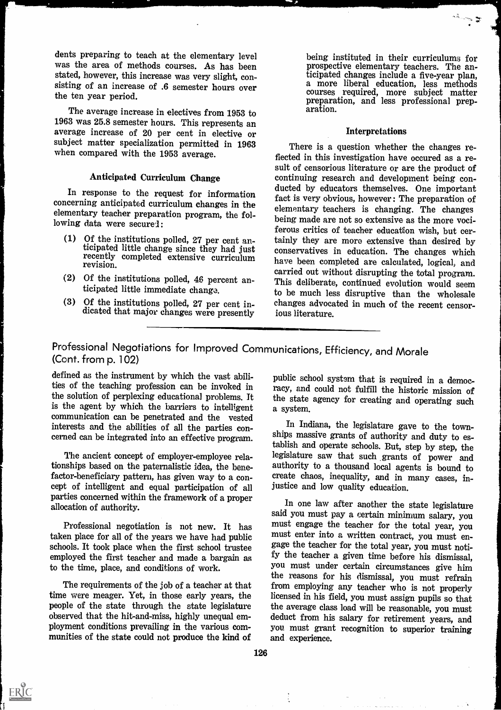dents preparing to teach at the elementary level was the area of methods courses. As has been stated, however, this increase was very slight, consisting of an increase of .6 semester hours over the ten year period.

The average increase in electives from 1953 to 1963 was 25.8 semester hours. This represents an average increase of 20 per cent in elective or subject matter specialization permitted in 1963 when compared with the 1953 average.

## Anticipated Curriculum Change

In response to the request for information concerning anticipated curriculum changes in the elementary teacher preparation program, the following data were secured:

- (1) Of the institutions polled, 27 per cent anticipated little change since they had just recently completed extensive curriculum revision.
- $(2)$  Of the institutions polled, 46 percent anticipated little immediate change.
- Of the institutions polled, 27 per cent in- dicated that major changes were presently

being instituted in their curriculums for prospective elementary teachers. The anticipated changes include a five-year plan, a more liberal education, less methods courses required, more subject matter preparation, and less professional prep- aration.

or

#### Interpretations

There is a question whether the changes reflected in this investigation have occured as a result of censorious literature or are the product of continuing research and development being conducted by educators themselves. One important fact is very obvious, however: The preparation of elementary teachers is changing. The changes being made are not so extensive as the more vociferous critics of teacher education wish, but certainly they are more extensive than desired by conservatives in education. The changes which have been completed are calculated, logical, and carried out without disrupting the total program. This deliberate, continued evolution would seem to be much less disruptive than the wholesale changes advocated in much of the recent censorious literature.

Professional Negotiations for Improved Communications, Efficiency, and Morale (Cont. from p. 102)

defined as the instrument by which the vast abilidefined as the instrument by which the vast abili-<br>ties of the teaching profession can be invoked in the racy, and could not fulfill the historic mission of the solution of perplexing educational problems. It is the agent by which the barriers to intelligent communication can be penetrated and the vested<br>interests and the abilities of all the parties con-<br>In Indiana, the legislature gave to the towninterests and the abilities of all the parties concerned can be integrated into an effective program.

The ancient concept of employer-employee relationships based on the paternalistic idea, the benefactor-beneficiary pattern, has given way to a concept of intelligent and equal participation of all parties concerned within the framework of a proper allocation of authority.

taken place for all of the years we have had public schools. It took place when the first school trustee  $\begin{array}{c} \text{gage} \text{ The teacher} \text{ is } \text{total year, you must not} \text{.} \\ \text{emnoved the first teacher and made a bargain as} \end{array}$  is the teacher a given time before his dismissal, employed the first teacher and made a bargain as to the time, place, and conditions of work.

The requirements of the job of a teacher at that time were meager. Yet, in those early years, the people of the state through the state legislature the average class load will be reasonable, you must observed that the hit-and-miss, highly unequal employment conditions prevailing in the various comployment conditions prevailing in the various com-<br>munities of the state could not produce the kind of and experience.

racy, and could not fulfill the historic mission of the state agency for creating and operating such a system.

ships massive grants of authority and duty to establish and operate schools. But, step by step, the legislature saw that such grants of power and authority to a thousand local agents is bound to create chaos, inequality, and in many cases, injustice and low quality education.

Professional negotiation is not new. It has must engage the teacher for the total year, you<br>en place for all of the vears we have had public must enter into a written contract, you must en-In one law after another the state legislature said you must pay a certain minimum salary, you gage the teacher for the total year, you must notiyou must under certain circumstances give him the reasons for his dismissal, you must refrain from employing any teacher who is not properly licensed in his field, you must assign pupils so that deduct from his salary for retirement years, and and experience.

 $\ddot{\cdot}$